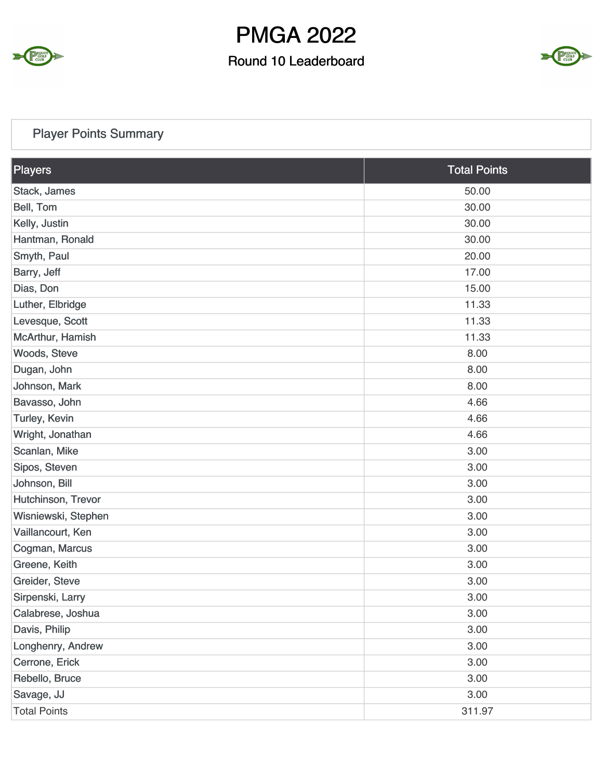

### Round 10 Leaderboard



### Player Points Summary

| Players             | <b>Total Points</b> |
|---------------------|---------------------|
| Stack, James        | 50.00               |
| Bell, Tom           | 30.00               |
| Kelly, Justin       | 30.00               |
| Hantman, Ronald     | 30.00               |
| Smyth, Paul         | 20.00               |
| Barry, Jeff         | 17.00               |
| Dias, Don           | 15.00               |
| Luther, Elbridge    | 11.33               |
| Levesque, Scott     | 11.33               |
| McArthur, Hamish    | 11.33               |
| Woods, Steve        | 8.00                |
| Dugan, John         | 8.00                |
| Johnson, Mark       | 8.00                |
| Bavasso, John       | 4.66                |
| Turley, Kevin       | 4.66                |
| Wright, Jonathan    | 4.66                |
| Scanlan, Mike       | 3.00                |
| Sipos, Steven       | 3.00                |
| Johnson, Bill       | 3.00                |
| Hutchinson, Trevor  | 3.00                |
| Wisniewski, Stephen | 3.00                |
| Vaillancourt, Ken   | 3.00                |
| Cogman, Marcus      | 3.00                |
| Greene, Keith       | 3.00                |
| Greider, Steve      | 3.00                |
| Sirpenski, Larry    | 3.00                |
| Calabrese, Joshua   | 3.00                |
| Davis, Philip       | 3.00                |
| Longhenry, Andrew   | 3.00                |
| Cerrone, Erick      | 3.00                |
| Rebello, Bruce      | 3.00                |
| Savage, JJ          | 3.00                |
| <b>Total Points</b> | 311.97              |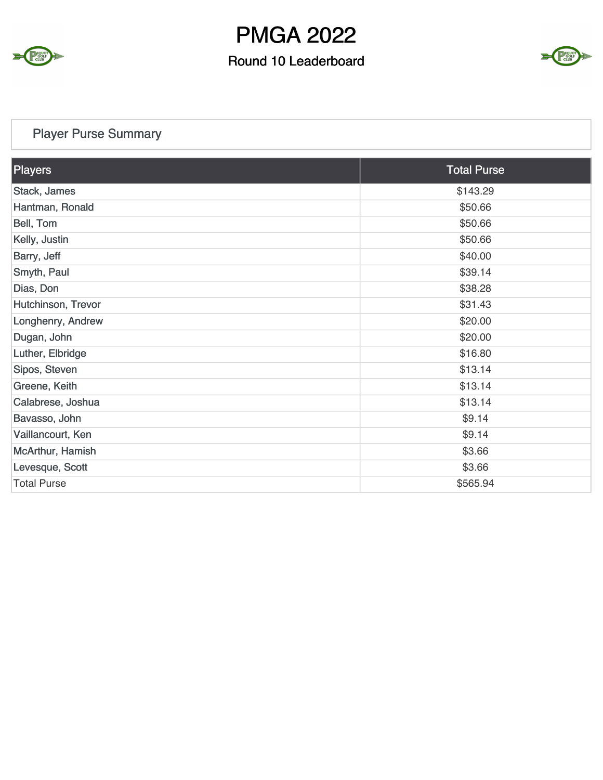

### Round 10 Leaderboard



### Player Purse Summary

| <b>Total Purse</b> |
|--------------------|
| \$143.29           |
| \$50.66            |
| \$50.66            |
| \$50.66            |
| \$40.00            |
| \$39.14            |
| \$38.28            |
| \$31.43            |
| \$20.00            |
| \$20.00            |
| \$16.80            |
| \$13.14            |
| \$13.14            |
| \$13.14            |
| \$9.14             |
| \$9.14             |
| \$3.66             |
| \$3.66             |
| \$565.94           |
|                    |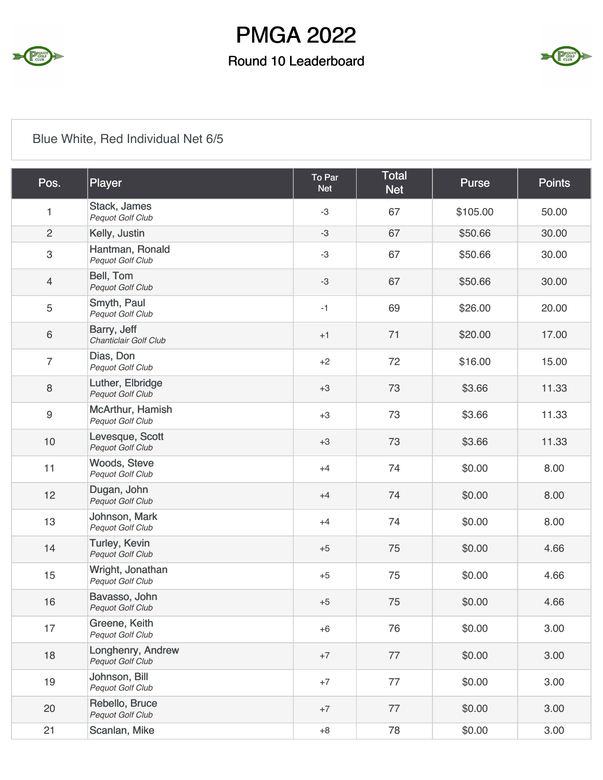

### Round 10 Leaderboard



### Blue White, Red Individual Net 6/5

| Pos.             | Player                                      | To Par<br><b>Net</b> | <b>Total</b><br><b>Net</b> | <b>Purse</b> | <b>Points</b> |
|------------------|---------------------------------------------|----------------------|----------------------------|--------------|---------------|
| 1                | Stack, James<br>Pequot Golf Club            | $-3$                 | 67                         | \$105.00     | 50.00         |
| $\overline{c}$   | Kelly, Justin                               | $-3$                 | 67                         | \$50.66      | 30.00         |
| 3                | Hantman, Ronald<br>Pequot Golf Club         | $-3$                 | 67                         | \$50.66      | 30.00         |
| 4                | Bell, Tom<br>Pequot Golf Club               | $-3$                 | 67                         | \$50.66      | 30.00         |
| 5                | Smyth, Paul<br>Pequot Golf Club             | $-1$                 | 69                         | \$26.00      | 20.00         |
| 6                | Barry, Jeff<br>Chanticlair Golf Club        | $+1$                 | 71                         | \$20.00      | 17.00         |
| $\overline{7}$   | Dias, Don<br>Pequot Golf Club               | $+2$                 | 72                         | \$16.00      | 15.00         |
| 8                | Luther, Elbridge<br>Pequot Golf Club        | $+3$                 | 73                         | \$3.66       | 11.33         |
| $\boldsymbol{9}$ | McArthur, Hamish<br><b>Pequot Golf Club</b> | $+3$                 | 73                         | \$3.66       | 11.33         |
| 10               | Levesque, Scott<br>Pequot Golf Club         | $+3$                 | 73                         | \$3.66       | 11.33         |
| 11               | Woods, Steve<br>Pequot Golf Club            | $+4$                 | 74                         | \$0.00       | 8.00          |
| 12               | Dugan, John<br>Pequot Golf Club             | $+4$                 | 74                         | \$0.00       | 8.00          |
| 13               | Johnson, Mark<br>Pequot Golf Club           | $+4$                 | 74                         | \$0.00       | 8.00          |
| 14               | <b>Turley, Kevin</b><br>Pequot Golf Club    | $+5$                 | 75                         | \$0.00       | 4.66          |
| 15               | Wright, Jonathan<br>Pequot Golf Club        | $+5$                 | 75                         | \$0.00       | 4.66          |
| 16               | Bavasso, John<br>Pequot Golf Club           | $+5$                 | 75                         | \$0.00       | 4.66          |
| 17               | Greene, Keith<br><b>Pequot Golf Club</b>    | $+6$                 | 76                         | \$0.00       | 3.00          |
| 18               | Longhenry, Andrew<br>Pequot Golf Club       | $+7$                 | 77                         | \$0.00       | 3.00          |
| 19               | Johnson, Bill<br>Pequot Golf Club           | $+7$                 | 77                         | \$0.00       | 3.00          |
| 20               | Rebello, Bruce<br>Pequot Golf Club          | $+7$                 | 77                         | \$0.00       | 3.00          |
| 21               | Scanlan, Mike                               | $+8$                 | 78                         | \$0.00       | 3.00          |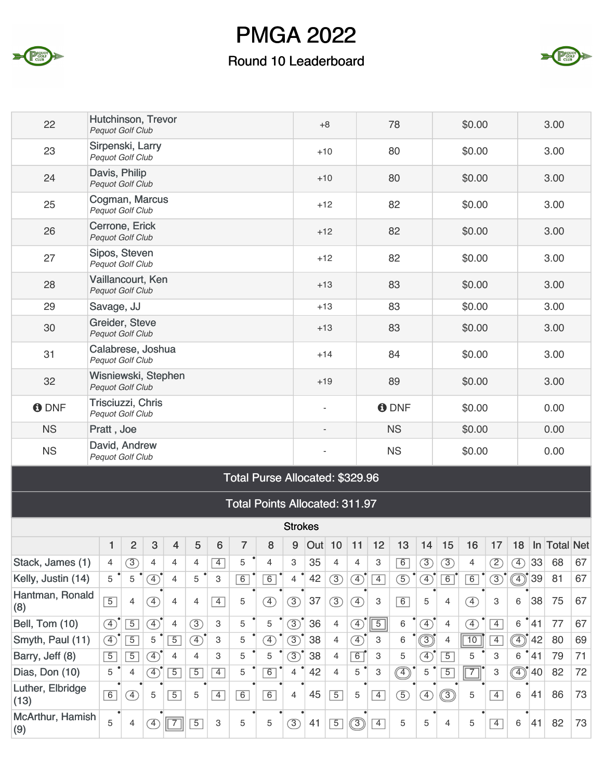

### Round 10 Leaderboard



| 22          | Hutchinson, Trevor<br><b>Pequot Golf Club</b>  | $+8$                     | 78          | \$0.00 | 3.00 |
|-------------|------------------------------------------------|--------------------------|-------------|--------|------|
| 23          | Sirpenski, Larry<br>Pequot Golf Club           | $+10$                    | 80          | \$0.00 | 3.00 |
| 24          | Davis, Philip<br>Pequot Golf Club              | $+10$                    | 80          | \$0.00 | 3.00 |
| 25          | Cogman, Marcus<br>Pequot Golf Club             | $+12$                    | 82          | \$0.00 | 3.00 |
| 26          | Cerrone, Erick<br><b>Pequot Golf Club</b>      | $+12$                    | 82          | \$0.00 | 3.00 |
| 27          | Sipos, Steven<br><b>Pequot Golf Club</b>       | $+12$                    | 82          | \$0.00 | 3.00 |
| 28          | Vaillancourt, Ken<br>Pequot Golf Club          | $+13$                    | 83          | \$0.00 | 3.00 |
| 29          | Savage, JJ                                     | $+13$                    | 83          | \$0.00 | 3.00 |
| 30          | Greider, Steve<br><b>Pequot Golf Club</b>      | $+13$                    | 83          | \$0.00 | 3.00 |
| 31          | Calabrese, Joshua<br><b>Pequot Golf Club</b>   | $+14$                    | 84          | \$0.00 | 3.00 |
| 32          | Wisniewski, Stephen<br><b>Pequot Golf Club</b> | $+19$                    | 89          | \$0.00 | 3.00 |
| <b>ODNF</b> | Trisciuzzi, Chris<br><b>Pequot Golf Club</b>   | $\overline{\phantom{a}}$ | <b>ODNF</b> | \$0.00 | 0.00 |
| <b>NS</b>   | Pratt, Joe                                     | $\overline{\phantom{a}}$ | <b>NS</b>   | \$0.00 | 0.00 |
| <b>NS</b>   | David, Andrew<br>Pequot Golf Club              | $\overline{\phantom{a}}$ | <b>NS</b>   | \$0.00 | 0.00 |

#### Total Purse Allocated: \$329.96

Total Points Allocated: 311.97

|                          |                |                   |               |                          |                |                |                |                | <b>Strokes</b> |     |                |                              |                |                |                  |                        |                |                   |                              |     |                  |    |
|--------------------------|----------------|-------------------|---------------|--------------------------|----------------|----------------|----------------|----------------|----------------|-----|----------------|------------------------------|----------------|----------------|------------------|------------------------|----------------|-------------------|------------------------------|-----|------------------|----|
|                          |                | $\overline{2}$    | 3             | 4                        | 5              | 6              | 7              | 8              | 9              | Out | 10             | 11                           | 12             | 13             | 14               | 15                     | 16             | 17                | 18                           | In. | <b>Total Net</b> |    |
| Stack, James (1)         | 4              | $\boxed{3}$       | 4             | 4                        | 4              | $\overline{4}$ | 5              | 4              | 3              | 35  | 4              | 4                            | 3              | $\overline{6}$ | $\circled{3}$    | $\overline{3}$         | $\overline{4}$ | $\left( 2\right)$ | $\left( \overline{4}\right)$ | 33  | 68               | 67 |
| Kelly, Justin (14)       | 5              | 5                 | $\boxed{4}$   | 4                        | 5              | 3              | $\overline{6}$ | $\overline{6}$ | 4              | 42  | 3)             | $\left( \overline{4}\right)$ | $\overline{4}$ | $\circledS$    | $\boxed{4}$      | 6                      | 6              | 3                 | $\binom{4}{}$                | 39  | 81               | 67 |
| Hantman, Ronald<br>(8)   | $\overline{5}$ | $\overline{4}$    | $\mathcal{F}$ | 4                        | 4              | $\overline{4}$ | 5              | $\mathcal{F}$  | $\circled{3}$  | 37  | $\circled{3}$  | $\left( 4\right)$            | 3              | 6              | 5                | 4                      | $\mathcal{F}$  | 3                 | 6                            | 38  | 75               | 67 |
| Bell, Tom (10)           | $\overline{4}$ | $\overline{5}$    | $\boxed{4}$   | 4                        | $\circled{3}$  | 3              | 5              | 5              | $\circled{3}$  | 36  | $\overline{4}$ | $\left( 4\right)$            | $\overline{5}$ | 6              | $\boxed{4}$      | 4                      | $\mathcal{F}$  | $\overline{4}$    | 6                            | 41  | 77               | 67 |
| Smyth, Paul (11)         | $\boxed{4}$    | $\overline{5}$    | 5             | $\overline{5}$           | $\mathcal{F}$  | 3              | 5              | $\boxed{4}$    | $\circled{3}$  | 38  | $\overline{4}$ | $\circ$                      | 3              | 6              | $\circledS$      | 4                      | 10             | $\overline{4}$    | $\widehat{A}$                | 42  | 80               | 69 |
| Barry, Jeff (8)          | $\overline{5}$ | $\overline{5}$    | $\boxed{4}$   | 4                        | 4              | 3              | 5              | 5              | $\circled{3}$  | 38  | $\overline{4}$ | $\boxed{6}$                  | 3              | 5              | $\mathcal{L}$    | $\overline{5}$         | 5              | 3                 | 6                            | 41  | 79               | 71 |
| Dias, Don (10)           | 5              | 4                 | $\boxed{4}$   | $\overline{5}$           | $\overline{5}$ | $\overline{4}$ | 5              | $\overline{6}$ | 4              | 42  | $\overline{4}$ | 5                            | 3              | $^{\circledR}$ | 5                | $\overline{5}$         | $\overline{7}$ | 3                 | $\circledR$                  | 40  | 82               | 72 |
| Luther, Elbridge<br>(13) | 6              | $\left( 4\right)$ | 5             | $\overline{5}$           | 5              | $\overline{4}$ | 6              | 6              | 4              | 45  | $\overline{5}$ | 5                            | $\overline{4}$ | $\overline{5}$ | $\left(4\right)$ | $\widehat{\mathbb{E}}$ | 5              | $\overline{4}$    | 6                            | 41  | 86               | 73 |
| McArthur, Hamish<br>(9)  | 5              | $\overline{4}$    | $\mathbf{4}$  | $\overline{\phantom{a}}$ | $\overline{5}$ | 3              | 5              | 5              | $\circled{3}$  | 41  | $\overline{5}$ | $\sqrt{(3)}$                 | $\overline{4}$ | 5              | 5                | 4                      | 5              | $\overline{4}$    | 6                            | 41  | 82               | 73 |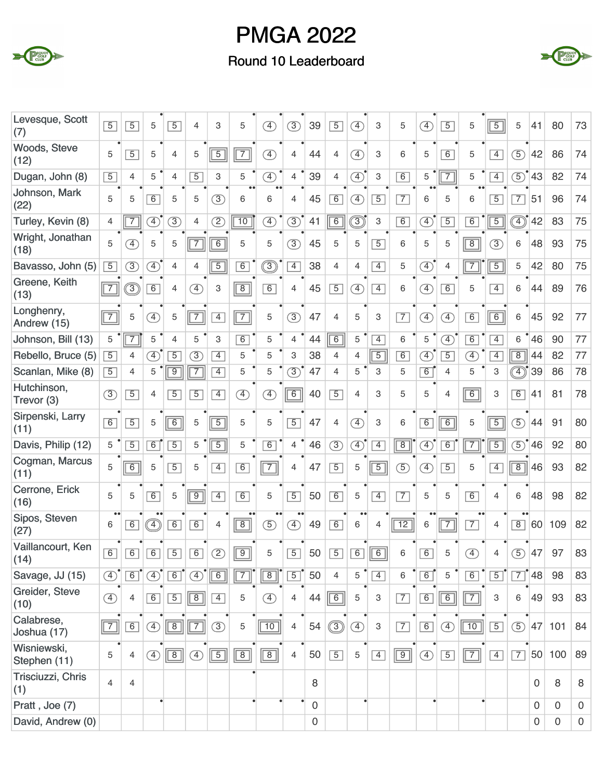

### Round 10 Leaderboard



| Levesque, Scott<br>(7)      | $\overline{5}$ | $\overline{5}$                 | 5                           | $\overline{5}$ | 4              | 3              | 5                     | $\boxed{4}$   | $\circled{3}$               | 39             | $\overline{5}$ | $\left( \overline{4}\right)$ | 3              | 5               | $\left( \overline{4}\right)$ | $\overline{5}$            | 5              | $\overline{5}$ | 5                               | 41                | 80          | 73             |
|-----------------------------|----------------|--------------------------------|-----------------------------|----------------|----------------|----------------|-----------------------|---------------|-----------------------------|----------------|----------------|------------------------------|----------------|-----------------|------------------------------|---------------------------|----------------|----------------|---------------------------------|-------------------|-------------|----------------|
| Woods, Steve<br>(12)        | 5              | $\overline{5}$                 | 5                           | $\overline{4}$ | 5              | $\overline{5}$ | $\overline{7}$        | $\bigoplus$   | 4                           | 44             | $\overline{4}$ | $\left( \overline{4}\right)$ | 3              | 6               | 5                            | 6                         | 5              | $\overline{4}$ | $\circled{5}$                   | 42                | 86          | 74             |
| Dugan, John (8)             | $\boxed{5}$    | 4                              | 5                           | $\overline{4}$ | $\overline{5}$ | 3              | 5                     | $\circled{4}$ | $\overline{\mathcal{L}}$    | 39             | $\overline{4}$ | $\textcircled{4}^{\bullet}$  | 3              | $\overline{6}$  | 5                            | $\overline{7}$            | 5              | $\overline{4}$ | $\circled{5}$                   | 43                | 82          | 74             |
| Johnson, Mark<br>(22)       | 5              | 5                              | 6                           | 5              | 5              | 3              | $\bullet\bullet$<br>6 | 6             | 4                           | 45             | 6              | $\left( \overline{4}\right)$ | $\overline{5}$ | $\overline{7}$  | 6                            | 5                         | 6              | $\overline{5}$ | $\overline{7}$                  | 51                | 96          | 74             |
| Turley, Kevin (8)           | $\overline{4}$ | $\overline{7}$                 | $\circled{4}$               | $\circled{3}$  | 4              | $\overline{2}$ | $\overline{10}$       | $\circled{4}$ | $\circled{3}$               | 41             | $\overline{6}$ | ③                            | 3              | 6               | $\circled{4}$                | $\overline{5}$            | 6              | $\sqrt{5}$     |                                 | 42                | 83          | 75             |
| Wright, Jonathan<br>(18)    | 5              | $\left( \overline{4}\right)$   | 5                           | 5              | $\overline{7}$ | $\overline{6}$ | 5                     | 5             | $\left(\overline{3}\right)$ | 45             | 5              | 5                            | $\overline{5}$ | 6               | 5                            | 5                         | $\overline{8}$ | $\circled{3}$  | 6                               | 48                | 93          | 75             |
| Bavasso, John (5)           | $\overline{5}$ | $\circled{3}$                  | $\circled{4}$               | $\overline{4}$ | 4              | $\overline{5}$ | 6                     | ③             | $\overline{4}$              | 38             | 4              | $\overline{4}$               | $\overline{4}$ | 5               | $\textcircled{4}^{\bullet}$  | 4                         | $\overline{7}$ | $\overline{5}$ | 5                               | 42                | 80          | 75             |
| Greene, Keith<br>(13)       | $\boxed{7}$    | $\textcircled{\scriptsize{3}}$ | 6                           | $\overline{4}$ | $\mathcal{F}$  | 3              | $\boxed{8}$           | 6             | 4                           | 45             | $\overline{5}$ | $\left( 4\right)$            | $\overline{4}$ | 6               | $\left( \overline{4}\right)$ | 6                         | 5              | $\overline{4}$ | 6                               | 44                | 89          | 76             |
| Longhenry,<br>Andrew (15)   | $\boxed{7}$    | 5                              | $\circled{4}$               | 5              | $\overline{7}$ | $\overline{4}$ | $\boxed{7}$           | 5             | $\circled{3}$               | 47             | $\overline{4}$ | 5                            | 3              | $\overline{7}$  | $\circled{4}$                | $\circled{4}$             | 6              | $\boxed{6}$    | 6                               | 45                | 92          | 77             |
| Johnson, Bill (13)          | 5              | $\overline{7}$                 | 5                           | $\overline{4}$ | 5              | 3              | 6                     | 5             | 4                           | 44             | $\overline{6}$ | 5                            | $\overline{4}$ | 6               | 5                            | $\overline{4}$            | 6              | $\overline{4}$ | 6                               | 46                | 90          | 77             |
| Rebello, Bruce (5)          | $\overline{5}$ | 4                              | $\textcircled{4}^{\bullet}$ | $\overline{5}$ | $\circled{3}$  | $\overline{4}$ | 5                     | 5             | 3                           | 38             | 4              | $\overline{4}$               | $\overline{5}$ | $\overline{6}$  | $\circled{4}$                | $\overline{5}$            | <sup>4</sup>   | $\overline{4}$ | $\overline{8}$                  | 44                | 82          | 77             |
| Scanlan, Mike (8)           | $\overline{5}$ | $\overline{4}$                 | 5                           | $\overline{9}$ | $\overline{7}$ | $\overline{4}$ | 5                     | 5             | $\circled{3}$               | 47             | $\overline{4}$ | 5                            | 3              | 5               | 6                            | $\overline{4}$            | 5              | 3              | ◑                               | 39                | 86          | 78             |
| Hutchinson,<br>Trevor (3)   | $\circled{3}$  | $\overline{5}$                 | $\overline{4}$              | $\overline{5}$ | $\overline{5}$ | $\overline{4}$ | $\bigoplus$           | A)            | $\boxed{6}$                 | 40             | $\overline{5}$ | $\overline{4}$               | 3              | 5               | 5                            | 4                         | $\boxed{6}$    | 3              | 6                               | 41                | 81          | 78             |
| Sirpenski, Larry<br>(11)    | 6              | $\overline{5}$                 | 5                           | $\overline{6}$ | 5              | $\overline{5}$ | 5                     | 5             | $\overline{5}$              | 47             | $\overline{4}$ | $\left( \overline{4}\right)$ | 3              | 6               | 6                            | $\overline{6}$            | 5              | $\sqrt{5}$     | $\circled{5}$                   | 44                | 91          | 80             |
| Davis, Philip (12)          | 5              | $\overline{5}$                 | 6                           | $\overline{5}$ | 5              | $\overline{5}$ | 5                     | 6             | $\overline{4}$              | 46             | $\circled{3}$  | $\mathcal{F}$                | $\overline{4}$ | $\overline{8}$  | $\left( \overline{4}\right)$ | 6                         | $\overline{7}$ | $\overline{5}$ | $\circled{5}$                   | 46                | 92          | 80             |
| Cogman, Marcus<br>(11)      | 5              | $\overline{6}$                 | 5                           | $\overline{5}$ | 5              | $\overline{4}$ | 6                     | $\boxed{7}$   | 4                           | 47             | $\overline{5}$ | 5                            | $\boxed{5}$    | $\circled{5}$   | 4)                           | $\overline{5}$            | 5              | $\overline{4}$ | $\overline{8}$                  | 46                | 93          | 82             |
| Cerrone, Erick<br>(16)      | 5              | 5                              | 6                           | 5              | $\overline{9}$ | $\overline{4}$ | 6                     | 5             | $\overline{5}$              | 50             | 6              | 5                            | $\overline{4}$ | $\overline{7}$  | 5                            | 5                         | $\overline{6}$ | $\overline{4}$ | 6                               | 48                | 98          | 82             |
| Sipos, Steven<br>(27)       | 6              | 6                              |                             | 6              | 6              | $\overline{4}$ | $\boxed{8}$           | $\circled{5}$ | $\circled{4}$               | 49             | 6              | 6                            | $\overline{4}$ | $\overline{12}$ | 6                            | $\overline{\mathsf{T}^2}$ | $\overline{7}$ | $\overline{4}$ | $\bullet\bullet$<br>$\boxed{8}$ | 60                | 109         | 82             |
| Vaillancourt, Ken<br>(14)   | $\boxed{6}$    | 6                              | $\boxed{6}$                 | $\boxed{5}$    | 6              | $\circled{2}$  | $\boxed{9}$           | 5             | $\boxed{5}$                 | 50             | $\boxed{5}$    |                              | $6$ $6$        | $\,6$           | $\boxed{6}$                  | 5                         | $\circled{4}$  | 4              | $\circled{5}$                   | 47                | 97          | 83             |
| Savage, JJ (15)             | $\circled{4}$  | $\boxed{6}$                    | $\circled{4}$               | $\boxed{6}$    | $\circled{4}$  | $\boxed{6}$    | $\boxed{7}$           | $\boxed{8}$   | $\overline{5}$              | 50             | $\overline{4}$ | 5                            | $\boxed{4}$    | 6               | $\boxed{6}$                  | 5                         | 6              | $\boxed{5}$    |                                 | $\overline{7}$ 48 | 98          | 83             |
| Greider, Steve<br>(10)      | $\circled{4}$  | $\overline{4}$                 | $\boxed{6}$                 | $\overline{5}$ | $\boxed{8}$    | $\overline{4}$ | 5                     | ④             | 4                           | 44             | $\boxed{6}$    | 5                            | 3              | $\overline{7}$  | $\boxed{6}$                  | $\boxed{6}$               | $\boxed{7}$    | $\mathbf{3}$   | 6                               | 49                | 93          | 83             |
| Calabrese,<br>Joshua (17)   | $\boxed{7}$    | $\overline{6}$                 | $\circled{4}$               | $\boxed{8}$    | $\boxed{7}$    | $\circled{3}$  | 5                     | $\boxed{10}$  | $\overline{4}$              | 54             | $\circledS$    | $\circled{4}$                | 3              | $\boxed{7}$     | $\boxed{6}$                  | $\circled{4}$             | $\boxed{10}$   | $\boxed{5}$    | $\circled{5}$                   | 47                | 101         | 84             |
| Wisniewski,<br>Stephen (11) | 5              | 4                              | $\circled{4}$               | $\boxed{8}$    | $\bigoplus$    | $\boxed{5}$    | $\boxed{8}$           | $\boxed{8}$   | $\overline{4}$              | 50             | $\overline{5}$ | 5                            | $\overline{4}$ | $\boxed{9}$     | $\circled{4}$                | $\overline{5}$            | $\boxed{7}$    | $\boxed{4}$    | $\boxed{7}$                     |                   | 50 100      | 89             |
| Trisciuzzi, Chris<br>(1)    | $\overline{4}$ | $\overline{4}$                 |                             |                |                |                |                       |               |                             | 8              |                |                              |                |                 |                              |                           |                |                |                                 | $\Omega$          | 8           | 8              |
| Pratt, Joe (7)              |                |                                |                             |                |                |                |                       |               |                             | $\mathbf 0$    |                |                              |                |                 |                              |                           |                |                |                                 | $\mathbf 0$       | $\mathbf 0$ | $\mathbf 0$    |
| David, Andrew (0)           |                |                                |                             |                |                |                |                       |               |                             | $\overline{0}$ |                |                              |                |                 |                              |                           |                |                |                                 | $\overline{0}$    | $\mathbf 0$ | $\overline{0}$ |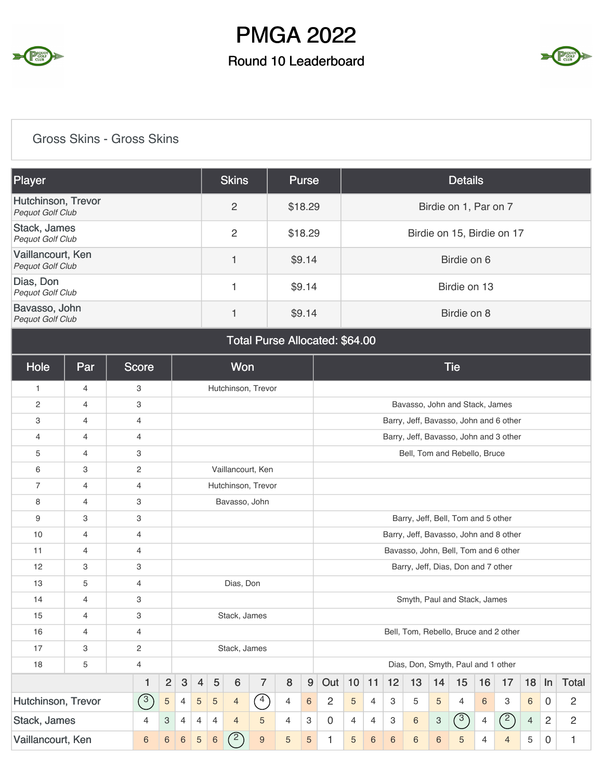

### Round 10 Leaderboard



### Gross Skins - Gross Skins

| Player                                       | <b>Skins</b> | <b>Purse</b> | <b>Details</b>             |
|----------------------------------------------|--------------|--------------|----------------------------|
| Hutchinson, Trevor<br>Pequot Golf Club       | 2            | \$18.29      | Birdie on 1, Par on 7      |
| Stack, James<br>Pequot Golf Club             | 2            | \$18.29      | Birdie on 15, Birdie on 17 |
| Vaillancourt, Ken<br><b>Pequot Golf Club</b> | 4            | \$9.14       | Birdie on 6                |
| Dias, Don<br>Pequot Golf Club                |              | \$9.14       | Birdie on 13               |
| Bavasso, John<br><b>Pequot Golf Club</b>     |              | \$9.14       | Birdie on 8                |

Total Purse Allocated: \$64.00

| Hole               | Par            | <b>Score</b>   |                                                                                                                 |                                                                                                    |                |             | Won            |                    |   |                |                                      |                |                 |             |                 |       | <b>Tie</b>                             |    |                |                |                |   |  |  |
|--------------------|----------------|----------------|-----------------------------------------------------------------------------------------------------------------|----------------------------------------------------------------------------------------------------|----------------|-------------|----------------|--------------------|---|----------------|--------------------------------------|----------------|-----------------|-------------|-----------------|-------|----------------------------------------|----|----------------|----------------|----------------|---|--|--|
| $\mathbf{1}$       | $\overline{4}$ | 3              |                                                                                                                 |                                                                                                    |                |             |                | Hutchinson, Trevor |   |                |                                      |                |                 |             |                 |       |                                        |    |                |                |                |   |  |  |
| 2                  | $\overline{4}$ | 3              |                                                                                                                 |                                                                                                    |                |             |                |                    |   |                |                                      |                |                 |             |                 |       | Bavasso, John and Stack, James         |    |                |                |                |   |  |  |
| 3                  | $\overline{4}$ | $\overline{4}$ |                                                                                                                 |                                                                                                    |                |             |                |                    |   |                |                                      |                |                 |             |                 |       | Barry, Jeff, Bavasso, John and 6 other |    |                |                |                |   |  |  |
| $\overline{4}$     | $\overline{4}$ | $\overline{4}$ |                                                                                                                 |                                                                                                    |                |             |                |                    |   |                |                                      |                |                 |             |                 |       | Barry, Jeff, Bavasso, John and 3 other |    |                |                |                |   |  |  |
| 5                  | $\overline{4}$ | 3              |                                                                                                                 |                                                                                                    |                |             |                |                    |   |                |                                      |                |                 |             |                 |       | Bell, Tom and Rebello, Bruce           |    |                |                |                |   |  |  |
| 6                  | 3              | $\overline{c}$ |                                                                                                                 |                                                                                                    |                |             |                | Vaillancourt, Ken  |   |                |                                      |                |                 |             |                 |       |                                        |    |                |                |                |   |  |  |
| $\overline{7}$     | $\overline{4}$ | $\overline{4}$ |                                                                                                                 |                                                                                                    |                |             |                | Hutchinson, Trevor |   |                |                                      |                |                 |             |                 |       |                                        |    |                |                |                |   |  |  |
| 8                  | $\overline{4}$ | 3              |                                                                                                                 |                                                                                                    |                |             | Bavasso, John  |                    |   |                |                                      |                |                 |             |                 |       |                                        |    |                |                |                |   |  |  |
| 9                  | 3              | 3              |                                                                                                                 |                                                                                                    |                |             |                |                    |   |                | Barry, Jeff, Bell, Tom and 5 other   |                |                 |             |                 |       |                                        |    |                |                |                |   |  |  |
| 10                 | $\overline{4}$ | $\overline{4}$ |                                                                                                                 |                                                                                                    |                |             |                |                    |   |                |                                      |                |                 |             |                 |       | Barry, Jeff, Bavasso, John and 8 other |    |                |                |                |   |  |  |
| 11                 | $\overline{4}$ | $\overline{4}$ |                                                                                                                 |                                                                                                    |                |             |                |                    |   |                | Bavasso, John, Bell, Tom and 6 other |                |                 |             |                 |       |                                        |    |                |                |                |   |  |  |
| 12                 | 3              | 3              |                                                                                                                 |                                                                                                    |                |             |                |                    |   |                | Barry, Jeff, Dias, Don and 7 other   |                |                 |             |                 |       |                                        |    |                |                |                |   |  |  |
| 13                 | 5              | 4              |                                                                                                                 |                                                                                                    |                |             | Dias, Don      |                    |   |                |                                      |                |                 |             |                 |       |                                        |    |                |                |                |   |  |  |
| 14                 | $\overline{4}$ | 3              |                                                                                                                 |                                                                                                    |                |             |                |                    |   |                |                                      |                |                 |             |                 |       | Smyth, Paul and Stack, James           |    |                |                |                |   |  |  |
| 15                 | $\overline{4}$ | 3              |                                                                                                                 |                                                                                                    |                |             | Stack, James   |                    |   |                |                                      |                |                 |             |                 |       |                                        |    |                |                |                |   |  |  |
| 16                 | 4              | $\overline{4}$ |                                                                                                                 |                                                                                                    |                |             |                |                    |   |                |                                      |                |                 |             |                 |       | Bell, Tom, Rebello, Bruce and 2 other  |    |                |                |                |   |  |  |
| 17                 | 3              | $\overline{c}$ |                                                                                                                 |                                                                                                    |                |             | Stack, James   |                    |   |                |                                      |                |                 |             |                 |       |                                        |    |                |                |                |   |  |  |
| 18                 | 5              | $\overline{4}$ |                                                                                                                 |                                                                                                    |                |             |                |                    |   |                |                                      |                |                 |             |                 |       | Dias, Don, Smyth, Paul and 1 other     |    |                |                |                |   |  |  |
|                    |                | 1              | $\overline{2}$<br>$\mathbf{3}$<br>$\sqrt{5}$<br>$\overline{7}$<br>$9$<br>$6\phantom{1}6$<br>8<br>$\overline{4}$ |                                                                                                    |                |             |                |                    |   | Out            | 10                                   | 11             | 12              | 13          | 14              | 15    | 16                                     | 17 | 18             | In             | <b>Total</b>   |   |  |  |
| Hutchinson, Trevor |                | $\sqrt{3}$     | 5                                                                                                               | $\curvearrowleft$<br>$\mathbf 5$<br>$\sqrt{5}$<br>$\overline{4}$<br>$\,6\,$<br>$\overline{4}$<br>4 |                |             |                |                    |   | 2              | 5                                    | $\overline{4}$ | 3               | 5           | 5               | 4     | 6                                      | 3  | 6              | $\mathbf 0$    | $\overline{2}$ |   |  |  |
| Stack, James       |                | 4              | 3                                                                                                               | $\overline{4}$<br>5<br>4<br>3<br>4<br>$\overline{4}$<br>4                                          |                |             |                |                    |   |                | $\mathbf 0$                          | 4              | $\overline{4}$  | 3           | 6               | 3     | $\sqrt{3}$                             | 4  | $\binom{2}{ }$ | $\overline{4}$ | $\overline{c}$ | 2 |  |  |
| Vaillancourt, Ken  |                | $6\,$          | $6\phantom{a}$                                                                                                  | $6\phantom{1}6$                                                                                    | $\overline{5}$ | $\,$ 6 $\,$ | $\overline{2}$ | $\boldsymbol{9}$   | 5 | $\overline{5}$ | 1                                    | 5              | $6\phantom{1}6$ | $\,$ 6 $\,$ | $6\phantom{1}6$ | $\,6$ | 5                                      | 4  | $\overline{4}$ | 5              | $\mathbf 0$    | 1 |  |  |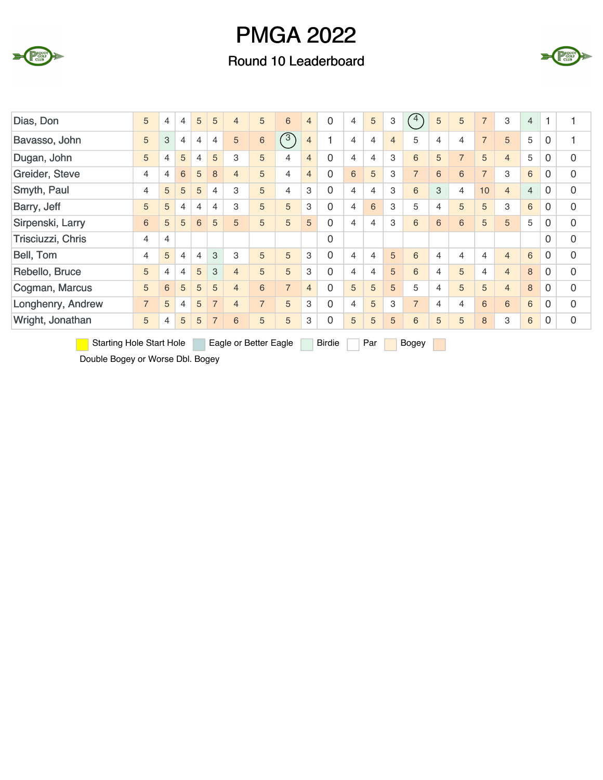

### Round 10 Leaderboard



| Dias, Don         | 5              | 4 | 4              | 5              | 5              | $\overline{4}$ | 5              | 6              | $\overline{4}$ | $\overline{0}$ | $\overline{4}$ | 5 | 3              | $^{\prime}$ 4  | 5 | 5              | $\overline{7}$ | 3              | $\overline{4}$ | 1        |   |
|-------------------|----------------|---|----------------|----------------|----------------|----------------|----------------|----------------|----------------|----------------|----------------|---|----------------|----------------|---|----------------|----------------|----------------|----------------|----------|---|
| Bavasso, John     | 5              | 3 | $\overline{4}$ | $\overline{4}$ | $\overline{4}$ | 5              | $\,$ 6 $\,$    | $\widehat{3}$  | $\overline{4}$ |                | 4              | 4 | $\overline{4}$ | 5              | 4 | 4              | $\overline{7}$ | 5              | 5              | 0        | 1 |
| Dugan, John       | 5              | 4 | 5              | 4              | 5              | 3              | 5              | $\overline{4}$ | $\overline{4}$ | 0              | $\overline{4}$ | 4 | 3              | 6              | 5 | $\overline{7}$ | 5              | $\overline{4}$ | 5              | 0        | 0 |
| Greider, Steve    | 4              | 4 | 6              | 5              | 8              | $\overline{4}$ | 5              | 4              | $\overline{4}$ | 0              | 6              | 5 | 3              | $\overline{7}$ | 6 | 6              | $\overline{7}$ | 3              | 6              | $\Omega$ | 0 |
| Smyth, Paul       | 4              | 5 | 5              | 5              | $\overline{4}$ | 3              | 5              | 4              | 3              | 0              | $\overline{4}$ | 4 | 3              | 6              | 3 | 4              | 10             | $\overline{4}$ | $\overline{4}$ | $\Omega$ | 0 |
| Barry, Jeff       | 5              | 5 | $\overline{4}$ | $\overline{4}$ | $\overline{4}$ | 3              | 5              | 5              | 3              | 0              | $\overline{4}$ | 6 | 3              | 5              | 4 | 5              | 5              | 3              | 6              | 0        | 0 |
| Sirpenski, Larry  | 6              | 5 | 5              | 6              | 5              | 5              | 5              | 5              | 5              | 0              | 4              | 4 | 3              | 6              | 6 | 6              | 5              | 5              | 5              | 0        | 0 |
| Trisciuzzi, Chris | 4              | 4 |                |                |                |                |                |                |                | 0              |                |   |                |                |   |                |                |                |                | $\Omega$ | 0 |
| Bell, Tom         | 4              | 5 | 4              | 4              | 3              | 3              | 5              | 5              | 3              | 0              | 4              | 4 | 5              | 6              | 4 | 4              | 4              | $\overline{4}$ | 6              | $\Omega$ | 0 |
| Rebello, Bruce    | 5              | 4 | 4              | 5              | 3              | $\overline{4}$ | 5              | 5              | 3              | 0              | 4              | 4 | 5              | 6              | 4 | 5              | 4              | $\overline{4}$ | 8              | $\Omega$ | 0 |
| Cogman, Marcus    | 5              | 6 | 5              | 5              | 5              | $\overline{4}$ | 6              | $\overline{7}$ | $\overline{4}$ | 0              | 5              | 5 | 5              | 5              | 4 | 5              | 5              | $\overline{4}$ | 8              | $\Omega$ | 0 |
| Longhenry, Andrew | $\overline{7}$ | 5 | 4              | 5              | $\overline{7}$ | $\overline{4}$ | $\overline{7}$ | 5              | 3              | 0              | $\overline{4}$ | 5 | 3              | $\overline{7}$ | 4 | 4              | 6              | 6              | 6              | $\Omega$ | 0 |
| Wright, Jonathan  | 5              | 4 | 5              | 5              | $\overline{7}$ | 6              | 5              | 5              | 3              | 0              | 5              | 5 | 5              | 6              | 5 | 5              | 8              | 3              | 6              | 0        | 0 |

Starting Hole Start Hole Eagle or Better Eagle Birdie Par Bogey

Double Bogey or Worse Dbl. Bogey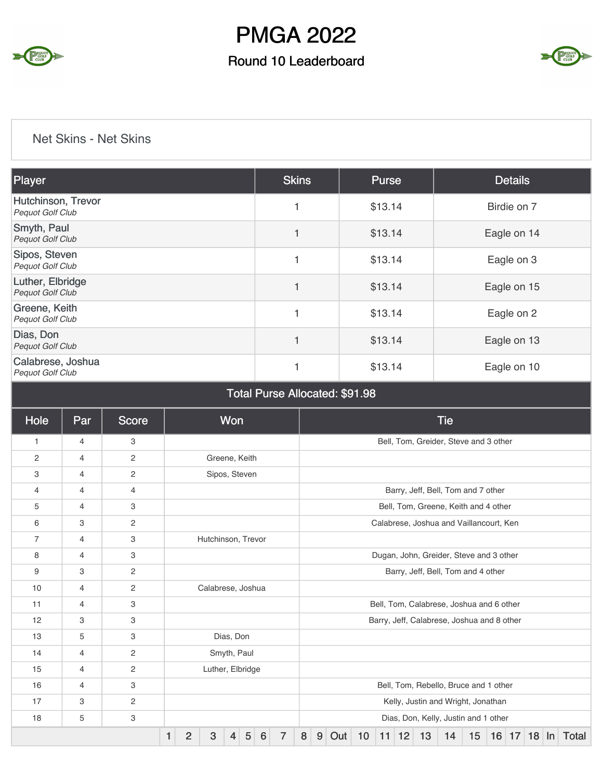

### Round 10 Leaderboard



#### Net Skins - Net Skins

| Player                                        | <b>Skins</b>             | <b>Purse</b> | <b>Details</b> |
|-----------------------------------------------|--------------------------|--------------|----------------|
| Hutchinson, Trevor<br><b>Pequot Golf Club</b> | 1                        | \$13.14      | Birdie on 7    |
| Smyth, Paul<br>Pequot Golf Club               | $\overline{\phantom{a}}$ | \$13.14      | Eagle on 14    |
| Sipos, Steven<br>Pequot Golf Club             | 1                        | \$13.14      | Eagle on 3     |
| Luther, Elbridge<br>Pequot Golf Club          | $\overline{1}$           | \$13.14      | Eagle on 15    |
| Greene, Keith<br>Pequot Golf Club             | 1                        | \$13.14      | Eagle on 2     |
| Dias, Don<br><b>Pequot Golf Club</b>          | 1                        | \$13.14      | Eagle on 13    |
| Calabrese, Joshua<br>Pequot Golf Club         |                          | \$13.14      | Eagle on 10    |

|  |  | <b>Total Purse Allocated: \$91.98</b> |  |  |
|--|--|---------------------------------------|--|--|
|--|--|---------------------------------------|--|--|

| Hole           | Par            | <b>Score</b>              |   |                |                    | Won       |             |   |                |                                         |   |     |  |    |    |                                          |    | <b>Tie</b>                                 |    |  |                  |  |  |       |  |  |
|----------------|----------------|---------------------------|---|----------------|--------------------|-----------|-------------|---|----------------|-----------------------------------------|---|-----|--|----|----|------------------------------------------|----|--------------------------------------------|----|--|------------------|--|--|-------|--|--|
| 1              | 4              | 3                         |   |                |                    |           |             |   |                |                                         |   |     |  |    |    |                                          |    | Bell, Tom, Greider, Steve and 3 other      |    |  |                  |  |  |       |  |  |
| 2              | 4              | 2                         |   |                | Greene, Keith      |           |             |   |                |                                         |   |     |  |    |    |                                          |    |                                            |    |  |                  |  |  |       |  |  |
| 3              | $\overline{4}$ | $\overline{c}$            |   |                | Sipos, Steven      |           |             |   |                |                                         |   |     |  |    |    |                                          |    |                                            |    |  |                  |  |  |       |  |  |
| 4              | 4              | 4                         |   |                |                    |           |             |   |                |                                         |   |     |  |    |    |                                          |    | Barry, Jeff, Bell, Tom and 7 other         |    |  |                  |  |  |       |  |  |
| 5              | 4              | 3                         |   |                |                    |           |             |   |                |                                         |   |     |  |    |    |                                          |    | Bell, Tom, Greene, Keith and 4 other       |    |  |                  |  |  |       |  |  |
| 6              | 3              | $\overline{2}$            |   |                |                    |           |             |   |                |                                         |   |     |  |    |    |                                          |    | Calabrese, Joshua and Vaillancourt, Ken    |    |  |                  |  |  |       |  |  |
| $\overline{7}$ | $\overline{4}$ | 3                         |   |                | Hutchinson, Trevor |           |             |   |                |                                         |   |     |  |    |    |                                          |    |                                            |    |  |                  |  |  |       |  |  |
| 8              | 4              | 3                         |   |                |                    |           |             |   |                | Dugan, John, Greider, Steve and 3 other |   |     |  |    |    |                                          |    |                                            |    |  |                  |  |  |       |  |  |
| 9              | 3              | $\mathbf{2}$              |   |                |                    |           |             |   |                | Barry, Jeff, Bell, Tom and 4 other      |   |     |  |    |    |                                          |    |                                            |    |  |                  |  |  |       |  |  |
| 10             | 4              | 2                         |   |                | Calabrese, Joshua  |           |             |   |                |                                         |   |     |  |    |    |                                          |    |                                            |    |  |                  |  |  |       |  |  |
| 11             | 4              | 3                         |   |                |                    |           |             |   |                |                                         |   |     |  |    |    | Bell, Tom, Calabrese, Joshua and 6 other |    |                                            |    |  |                  |  |  |       |  |  |
| 12             | 3              | 3                         |   |                |                    |           |             |   |                |                                         |   |     |  |    |    |                                          |    | Barry, Jeff, Calabrese, Joshua and 8 other |    |  |                  |  |  |       |  |  |
| 13             | 5              | 3                         |   |                |                    | Dias, Don |             |   |                |                                         |   |     |  |    |    |                                          |    |                                            |    |  |                  |  |  |       |  |  |
| 14             | $\overline{4}$ | 2                         |   |                |                    |           | Smyth, Paul |   |                |                                         |   |     |  |    |    |                                          |    |                                            |    |  |                  |  |  |       |  |  |
| 15             | 4              | 2                         |   |                | Luther, Elbridge   |           |             |   |                |                                         |   |     |  |    |    |                                          |    |                                            |    |  |                  |  |  |       |  |  |
| 16             | 4              | 3                         |   |                |                    |           |             |   |                | Bell, Tom, Rebello, Bruce and 1 other   |   |     |  |    |    |                                          |    |                                            |    |  |                  |  |  |       |  |  |
| 17             | 3              | $\mathbf{2}$              |   |                |                    |           |             |   |                |                                         |   |     |  |    |    |                                          |    | Kelly, Justin and Wright, Jonathan         |    |  |                  |  |  |       |  |  |
| 18             | 5              | $\ensuremath{\mathsf{3}}$ |   |                |                    |           |             |   |                |                                         |   |     |  |    |    |                                          |    | Dias, Don, Kelly, Justin and 1 other       |    |  |                  |  |  |       |  |  |
|                |                |                           | 1 | $\overline{2}$ | 3                  | 4         | 5           | 6 | $\overline{7}$ | 8                                       | 9 | Out |  | 10 | 11 | 12                                       | 13 | 14                                         | 15 |  | $16$ 17 18 $\ln$ |  |  | Total |  |  |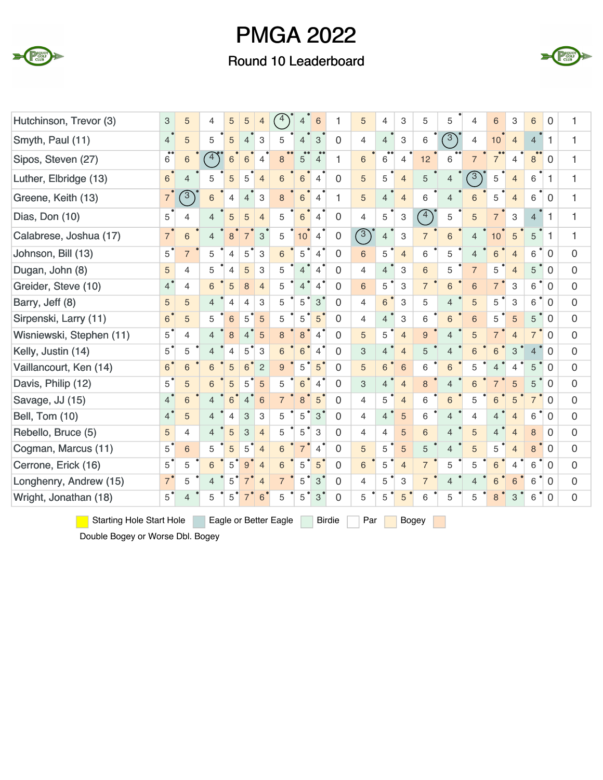

### Round 10 Leaderboard



| Hutchinson, Trevor (3)                                                                                                              | 3                 | 5              | 4              | 5              | 5              | $\overline{4}$ | $4^{\circ}$    | $\overline{4}$           | 6              | 1              | 5              | $\overline{4}$ | 3              | 5              | 5                        | 4               | 6               | 3              | 6              | 0            | 1              |
|-------------------------------------------------------------------------------------------------------------------------------------|-------------------|----------------|----------------|----------------|----------------|----------------|----------------|--------------------------|----------------|----------------|----------------|----------------|----------------|----------------|--------------------------|-----------------|-----------------|----------------|----------------|--------------|----------------|
| Smyth, Paul (11)                                                                                                                    | 4                 | 5              | 5              | 5              | $\overline{4}$ | 3              | 5              | $\overline{\mathcal{L}}$ | 3              | $\Omega$       | $\overline{4}$ | $\overline{4}$ | 3              | 6              | $\sqrt{3}$               | $\overline{4}$  | 10              | $\overline{4}$ | $\overline{4}$ | 1            | 1              |
| Sipos, Steven (27)                                                                                                                  | $^{\bullet}$<br>6 | 6              | $4^{\circ}$    | 6              | 6              | 4              | 8              | 5                        | 4              | 1              | 6              | 6              | 4              | 12             | 6                        | $\overline{7}$  | $\overline{7}$  | 4              | 8              | 0            | 1              |
| Luther, Elbridge (13)                                                                                                               | $\,6$             | 4              | 5              | 5              | 5              | $\overline{4}$ | 6              | 6                        | 4              | $\mathbf 0$    | 5              | 5              | $\overline{4}$ | 5              | $\overline{4}$           | $\sqrt{3}$      | 5               | $\overline{4}$ | 6              | 1            | 1              |
| Greene, Keith (13)                                                                                                                  | $\overline{7}$    | $\mathcal{C}$  | 6              | 4              | 4              | 3              | 8              | 6                        | 4              | 1              | 5              | 4              | $\overline{4}$ | 6              | 4                        | 6               | 5               | $\overline{4}$ | 6              | $\Omega$     | 1              |
| Dias, Don (10)                                                                                                                      | 5                 | 4              | 4              | 5              | 5              | $\overline{4}$ | 5              | 6                        | 4              | 0              | 4              | 5              | 3              | (4)            | 5                        | 5               | $\overline{7}$  | 3              | $\overline{4}$ | $\mathbf{1}$ | 1              |
| Calabrese, Joshua (17)                                                                                                              | $\overline{7}$    | 6              | 4              | 8              | $\overline{7}$ | 3              | 5              | 10                       | 4              | 0              | $\binom{3}{}$  | 4              | 3              | $\overline{7}$ | 6                        | $\overline{4}$  | 10              | 5              | 5              | 1            | 1              |
| Johnson, Bill (13)                                                                                                                  | $5^{\degree}$     | $\overline{7}$ | 5              | $\overline{4}$ | 5              | 3              | 6              | 5                        | $\overline{4}$ | $\Omega$       | 6              | 5              | $\overline{4}$ | 6              | 5                        | $\overline{4}$  | 6               | $\overline{4}$ | 6              | 0            | $\mathbf 0$    |
| Dugan, John (8)                                                                                                                     | 5                 | $\overline{4}$ | 5              | $\overline{4}$ | 5              | 3              | 5              | $\overline{4}$           | $\overline{4}$ | $\Omega$       | $\overline{4}$ | $\overline{4}$ | 3              | 6              | 5                        | $\overline{7}$  | 5               | $\overline{4}$ | 5              | 0            | $\mathbf 0$    |
| Greider, Steve (10)                                                                                                                 | $4^{\circ}$       | $\overline{4}$ | 6              | 5              | 8              | $\overline{4}$ | 5              | 4                        | 4              | $\overline{0}$ | 6              | 5              | 3              | $\overline{7}$ | 6                        | 6               | $\overline{7}$  | 3              | 6              | 0            | $\mathbf 0$    |
| Barry, Jeff (8)                                                                                                                     | 5                 | 5              | 4              | $\overline{4}$ | 4              | 3              | 5              | 5                        | 3              | $\Omega$       | 4              | $6\phantom{1}$ | 3              | 5              | $\overline{4}$           | 5               | 5               | 3              | 6              | 0            | $\mathbf 0$    |
| Sirpenski, Larry (11)                                                                                                               | 6 <sup>°</sup>    | 5              | 5              | 6              | 5              | 5              | 5              | 5                        | 5              | $\Omega$       | $\overline{4}$ | $\overline{4}$ | 3              | 6              | 6                        | $6\phantom{1}6$ | 5               | 5              | 5              | $\mathbf 0$  | $\mathbf 0$    |
| Wisniewski, Stephen (11)                                                                                                            | $5^{\degree}$     | $\overline{4}$ | 4              | 8              | 4              | 5              | 8              | 8                        | 4              | $\Omega$       | 5              | 5              | $\overline{4}$ | 9              | $\overline{4}$           | 5               | $\overline{7}$  | $\overline{4}$ | $\overline{7}$ | 0            | $\mathbf 0$    |
| Kelly, Justin (14)                                                                                                                  | $5^{\degree}$     | 5              | $\overline{4}$ | $\overline{4}$ | 5              | 3              | 6              | 6                        | $\overline{4}$ | $\overline{0}$ | 3              | $\overline{4}$ | $\overline{4}$ | 5              | $\overline{4}$           | 6               | $6\phantom{1}6$ | 3              | $\overline{4}$ | $\Omega$     | $\overline{0}$ |
| Vaillancourt, Ken (14)                                                                                                              | 6 <sup>°</sup>    | 6              | 6              | 5              | 6              | $\overline{c}$ | 9              | 5                        | 5              | 0              | 5              | $\,$ 6 $\,$    | $6\phantom{1}$ | 6              | 6                        | 5               | $\overline{4}$  | 4              | 5              | 0            | $\mathbf 0$    |
| Davis, Philip (12)                                                                                                                  | $5^{\degree}$     | 5              | 6              | 5              | 5              | 5              | 5              | 6                        | $\overline{4}$ | $\Omega$       | 3              | $\overline{4}$ | $\overline{4}$ | 8              | $\overline{4}$           | 6               | $\overline{7}$  | 5              | 5              | $\Omega$     | $\mathbf 0$    |
| Savage, JJ (15)                                                                                                                     | 4 <sup>°</sup>    | 6              | 4              | 6              | $\overline{4}$ | 6              |                | 8                        | 5              | $\Omega$       | 4              | 5              | $\overline{4}$ | 6              | 6                        | 5               | 6               | 5              | $\overline{7}$ | $\Omega$     | $\mathbf 0$    |
| Bell, Tom (10)                                                                                                                      | $\overline{4}$    | 5              | 4              | 4              | 3              | 3              | 5              | 5                        | 3              | 0              | 4              | $\overline{4}$ | 5              | 6              | $\overline{4}$           | $\overline{4}$  | $\overline{4}$  | $\overline{4}$ | 6              | $\mathbf 0$  | $\mathbf 0$    |
| Rebello, Bruce (5)                                                                                                                  | 5                 | $\overline{4}$ | 4              | 5              | 3              | $\overline{4}$ | 5              | 5                        | 3              | $\Omega$       | 4              | 4              | 5              | 6              | $\overline{4}$           | 5               | $\overline{4}$  | $\overline{4}$ | 8              | $\Omega$     | $\mathbf 0$    |
| Cogman, Marcus (11)                                                                                                                 | $5^{\degree}$     | $6\phantom{1}$ | 5              | 5              | 5              | $\overline{4}$ | 6              | $\overline{7}$           | 4              | $\Omega$       | 5              | 5              | 5              | 5              | $\overline{4}$           | 5               | 5               | $\overline{4}$ | 8              | $\Omega$     | $\mathbf 0$    |
| Cerrone, Erick (16)                                                                                                                 | $5^{\degree}$     | 5              | 6              | 5              | 9              | $\overline{4}$ | 6              | 5                        | 5              | 0              | $6\phantom{1}$ | 5              | $\overline{4}$ | $\overline{7}$ | 5                        | 5               | $6\phantom{1}6$ | $\overline{4}$ | 6              | 0            | $\mathbf 0$    |
| Longhenry, Andrew (15)                                                                                                              | $7^{\degree}$     | 5              | $\overline{4}$ | 5              | $7^{\degree}$  | $\overline{4}$ | $\overline{7}$ | 5                        | 3              | $\mathbf 0$    | $\overline{4}$ | 5              | 3              | $\overline{7}$ | $\overline{4}$           | $\overline{4}$  | 6               | 6              | 6              | 0            | $\overline{0}$ |
| Wright, Jonathan (18)                                                                                                               | $5^{\degree}$     | $\overline{4}$ | 5              | 5              | $7^{\circ}$    | 6              | 5              | 5                        | 3              | $\overline{0}$ | 5              | 5              | 5              | 6              | 5                        | 5               | 8               | 3              | 6              | $\mathbf 0$  | $\mathbf 0$    |
| $\blacksquare$ $\Omega$ $\vdots$ $\Omega$ $\vdots$ $\Omega$ $\vdots$ $\Omega$ $\vdots$ $\Omega$ $\vdots$ $\Omega$ $\vdots$ $\Omega$ |                   |                |                |                |                |                |                |                          |                |                |                |                |                |                | <b>Contract Contract</b> |                 |                 |                |                |              |                |

Starting Hole Start Hole Eagle or Better Eagle Birdie Par Bogey

Double Bogey or Worse Dbl. Bogey